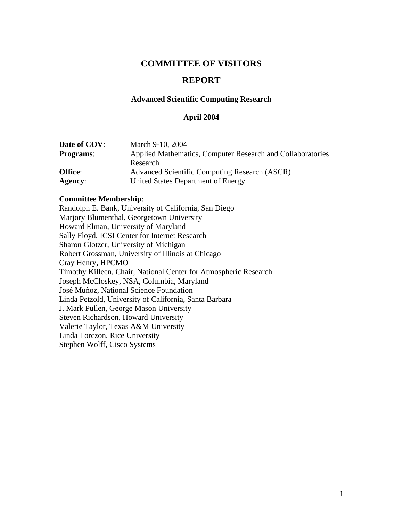## **COMMITTEE OF VISITORS**

## **REPORT**

#### **Advanced Scientific Computing Research**

#### **April 2004**

| Date of COV:     | March 9-10, 2004                                           |
|------------------|------------------------------------------------------------|
| <b>Programs:</b> | Applied Mathematics, Computer Research and Collaboratories |
|                  | Research                                                   |
| <b>Office:</b>   | Advanced Scientific Computing Research (ASCR)              |
| <b>Agency:</b>   | United States Department of Energy                         |

#### **Committee Membership**:

Randolph E. Bank, University of California, San Diego Marjory Blumenthal, Georgetown University Howard Elman, University of Maryland Sally Floyd, ICSI Center for Internet Research Sharon Glotzer, University of Michigan Robert Grossman, University of Illinois at Chicago Cray Henry, HPCMO Timothy Killeen, Chair, National Center for Atmospheric Research Joseph McCloskey, NSA, Columbia, Maryland José Muñoz, National Science Foundation Linda Petzold, University of California, Santa Barbara J. Mark Pullen, George Mason University Steven Richardson, Howard University Valerie Taylor, Texas A&M University Linda Torczon, Rice University Stephen Wolff, Cisco Systems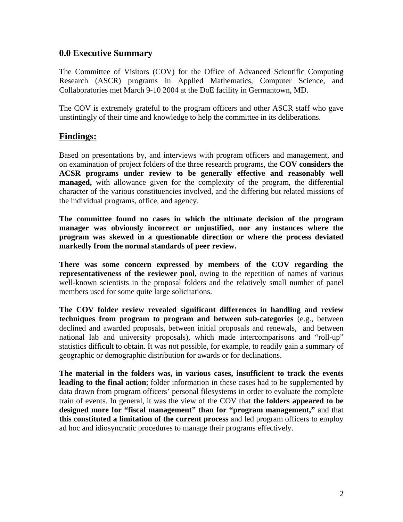## **0.0 Executive Summary**

The Committee of Visitors (COV) for the Office of Advanced Scientific Computing Research (ASCR) programs in Applied Mathematics, Computer Science, and Collaboratories met March 9-10 2004 at the DoE facility in Germantown, MD.

The COV is extremely grateful to the program officers and other ASCR staff who gave unstintingly of their time and knowledge to help the committee in its deliberations.

## **Findings:**

Based on presentations by, and interviews with program officers and management, and on examination of project folders of the three research programs, the **COV considers the ACSR programs under review to be generally effective and reasonably well managed,** with allowance given for the complexity of the program, the differential character of the various constituencies involved, and the differing but related missions of the individual programs, office, and agency.

**The committee found no cases in which the ultimate decision of the program manager was obviously incorrect or unjustified, nor any instances where the program was skewed in a questionable direction or where the process deviated markedly from the normal standards of peer review.**

**There was some concern expressed by members of the COV regarding the representativeness of the reviewer pool**, owing to the repetition of names of various well-known scientists in the proposal folders and the relatively small number of panel members used for some quite large solicitations.

**The COV folder review revealed significant differences in handling and review techniques from program to program and between sub-categories** (e.g., between declined and awarded proposals, between initial proposals and renewals, and between national lab and university proposals), which made intercomparisons and "roll-up" statistics difficult to obtain. It was not possible, for example, to readily gain a summary of geographic or demographic distribution for awards or for declinations.

**The material in the folders was, in various cases, insufficient to track the events leading to the final action**; folder information in these cases had to be supplemented by data drawn from program officers' personal filesystems in order to evaluate the complete train of events. In general, it was the view of the COV that **the folders appeared to be designed more for "fiscal management" than for "program management,"** and that **this constituted a limitation of the current process** and led program officers to employ ad hoc and idiosyncratic procedures to manage their programs effectively.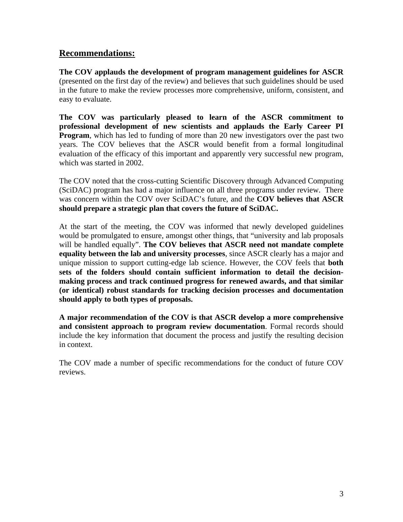## **Recommendations:**

**The COV applauds the development of program management guidelines for ASCR** (presented on the first day of the review) and believes that such guidelines should be used in the future to make the review processes more comprehensive, uniform, consistent, and easy to evaluate.

**The COV was particularly pleased to learn of the ASCR commitment to professional development of new scientists and applauds the Early Career PI Program**, which has led to funding of more than 20 new investigators over the past two years. The COV believes that the ASCR would benefit from a formal longitudinal evaluation of the efficacy of this important and apparently very successful new program, which was started in 2002.

The COV noted that the cross-cutting Scientific Discovery through Advanced Computing (SciDAC) program has had a major influence on all three programs under review. There was concern within the COV over SciDAC's future, and the **COV believes that ASCR should prepare a strategic plan that covers the future of SciDAC.** 

At the start of the meeting, the COV was informed that newly developed guidelines would be promulgated to ensure, amongst other things, that "university and lab proposals will be handled equally". **The COV believes that ASCR need not mandate complete equality between the lab and university processes**, since ASCR clearly has a major and unique mission to support cutting-edge lab science. However, the COV feels that **both sets of the folders should contain sufficient information to detail the decisionmaking process and track continued progress for renewed awards, and that similar (or identical) robust standards for tracking decision processes and documentation should apply to both types of proposals.** 

**A major recommendation of the COV is that ASCR develop a more comprehensive and consistent approach to program review documentation**. Formal records should include the key information that document the process and justify the resulting decision in context.

The COV made a number of specific recommendations for the conduct of future COV reviews.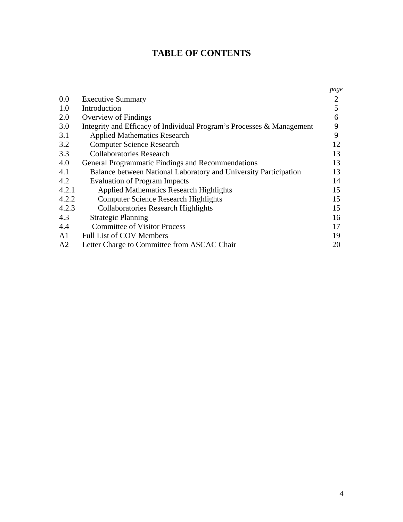# **TABLE OF CONTENTS**

|                                                                       | page |
|-----------------------------------------------------------------------|------|
| <b>Executive Summary</b>                                              | 2    |
| Introduction                                                          | 5    |
| Overview of Findings                                                  | 6    |
| Integrity and Efficacy of Individual Program's Processes & Management | 9    |
| <b>Applied Mathematics Research</b>                                   | 9    |
| <b>Computer Science Research</b>                                      | 12   |
| <b>Collaboratories Research</b>                                       | 13   |
| General Programmatic Findings and Recommendations                     | 13   |
| Balance between National Laboratory and University Participation      | 13   |
| <b>Evaluation of Program Impacts</b>                                  | 14   |
| <b>Applied Mathematics Research Highlights</b>                        | 15   |
| <b>Computer Science Research Highlights</b>                           | 15   |
| <b>Collaboratories Research Highlights</b>                            | 15   |
| <b>Strategic Planning</b>                                             | 16   |
| <b>Committee of Visitor Process</b>                                   | 17   |
| <b>Full List of COV Members</b>                                       | 19   |
| Letter Charge to Committee from ASCAC Chair                           | 20   |
|                                                                       |      |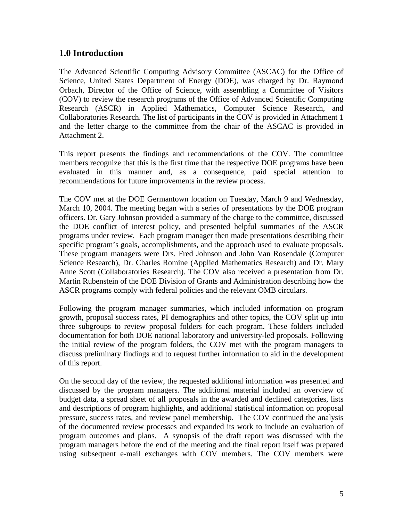## **1.0 Introduction**

The Advanced Scientific Computing Advisory Committee (ASCAC) for the Office of Science, United States Department of Energy (DOE), was charged by Dr. Raymond Orbach, Director of the Office of Science, with assembling a Committee of Visitors (COV) to review the research programs of the Office of Advanced Scientific Computing Research (ASCR) in Applied Mathematics, Computer Science Research, and Collaboratories Research. The list of participants in the COV is provided in Attachment 1 and the letter charge to the committee from the chair of the ASCAC is provided in Attachment 2.

This report presents the findings and recommendations of the COV. The committee members recognize that this is the first time that the respective DOE programs have been evaluated in this manner and, as a consequence, paid special attention to recommendations for future improvements in the review process.

The COV met at the DOE Germantown location on Tuesday, March 9 and Wednesday, March 10, 2004. The meeting began with a series of presentations by the DOE program officers. Dr. Gary Johnson provided a summary of the charge to the committee, discussed the DOE conflict of interest policy, and presented helpful summaries of the ASCR programs under review. Each program manager then made presentations describing their specific program's goals, accomplishments, and the approach used to evaluate proposals. These program managers were Drs. Fred Johnson and John Van Rosendale (Computer Science Research), Dr. Charles Romine (Applied Mathematics Research) and Dr. Mary Anne Scott (Collaboratories Research). The COV also received a presentation from Dr. Martin Rubenstein of the DOE Division of Grants and Administration describing how the ASCR programs comply with federal policies and the relevant OMB circulars.

Following the program manager summaries, which included information on program growth, proposal success rates, PI demographics and other topics, the COV split up into three subgroups to review proposal folders for each program. These folders included documentation for both DOE national laboratory and university-led proposals. Following the initial review of the program folders, the COV met with the program managers to discuss preliminary findings and to request further information to aid in the development of this report.

On the second day of the review, the requested additional information was presented and discussed by the program managers. The additional material included an overview of budget data, a spread sheet of all proposals in the awarded and declined categories, lists and descriptions of program highlights, and additional statistical information on proposal pressure, success rates, and review panel membership. The COV continued the analysis of the documented review processes and expanded its work to include an evaluation of program outcomes and plans. A synopsis of the draft report was discussed with the program managers before the end of the meeting and the final report itself was prepared using subsequent e-mail exchanges with COV members. The COV members were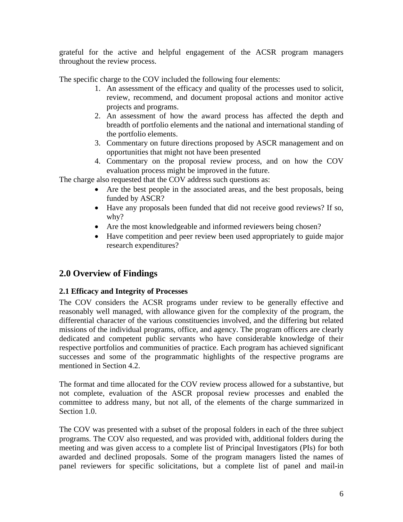grateful for the active and helpful engagement of the ACSR program managers throughout the review process.

The specific charge to the COV included the following four elements:

- 1. An assessment of the efficacy and quality of the processes used to solicit, review, recommend, and document proposal actions and monitor active projects and programs.
- 2. An assessment of how the award process has affected the depth and breadth of portfolio elements and the national and international standing of the portfolio elements.
- 3. Commentary on future directions proposed by ASCR management and on opportunities that might not have been presented
- 4. Commentary on the proposal review process, and on how the COV evaluation process might be improved in the future.

The charge also requested that the COV address such questions as:

- Are the best people in the associated areas, and the best proposals, being funded by ASCR?
- Have any proposals been funded that did not receive good reviews? If so, why?
- Are the most knowledgeable and informed reviewers being chosen?
- Have competition and peer review been used appropriately to guide major research expenditures?

## **2.0 Overview of Findings**

## **2.1 Efficacy and Integrity of Processes**

The COV considers the ACSR programs under review to be generally effective and reasonably well managed, with allowance given for the complexity of the program, the differential character of the various constituencies involved, and the differing but related missions of the individual programs, office, and agency. The program officers are clearly dedicated and competent public servants who have considerable knowledge of their respective portfolios and communities of practice. Each program has achieved significant successes and some of the programmatic highlights of the respective programs are mentioned in Section 4.2.

The format and time allocated for the COV review process allowed for a substantive, but not complete, evaluation of the ASCR proposal review processes and enabled the committee to address many, but not all, of the elements of the charge summarized in Section 1.0.

The COV was presented with a subset of the proposal folders in each of the three subject programs. The COV also requested, and was provided with, additional folders during the meeting and was given access to a complete list of Principal Investigators (PIs) for both awarded and declined proposals. Some of the program managers listed the names of panel reviewers for specific solicitations, but a complete list of panel and mail-in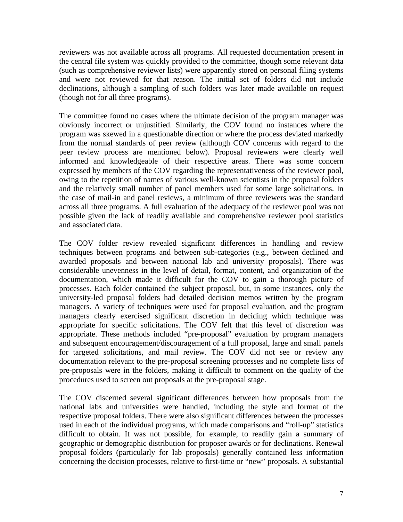reviewers was not available across all programs. All requested documentation present in the central file system was quickly provided to the committee, though some relevant data (such as comprehensive reviewer lists) were apparently stored on personal filing systems and were not reviewed for that reason. The initial set of folders did not include declinations, although a sampling of such folders was later made available on request (though not for all three programs).

The committee found no cases where the ultimate decision of the program manager was obviously incorrect or unjustified. Similarly, the COV found no instances where the program was skewed in a questionable direction or where the process deviated markedly from the normal standards of peer review (although COV concerns with regard to the peer review process are mentioned below). Proposal reviewers were clearly well informed and knowledgeable of their respective areas. There was some concern expressed by members of the COV regarding the representativeness of the reviewer pool, owing to the repetition of names of various well-known scientists in the proposal folders and the relatively small number of panel members used for some large solicitations. In the case of mail-in and panel reviews, a minimum of three reviewers was the standard across all three programs. A full evaluation of the adequacy of the reviewer pool was not possible given the lack of readily available and comprehensive reviewer pool statistics and associated data.

The COV folder review revealed significant differences in handling and review techniques between programs and between sub-categories (e.g., between declined and awarded proposals and between national lab and university proposals). There was considerable unevenness in the level of detail, format, content, and organization of the documentation, which made it difficult for the COV to gain a thorough picture of processes. Each folder contained the subject proposal, but, in some instances, only the university-led proposal folders had detailed decision memos written by the program managers. A variety of techniques were used for proposal evaluation, and the program managers clearly exercised significant discretion in deciding which technique was appropriate for specific solicitations. The COV felt that this level of discretion was appropriate. These methods included "pre-proposal" evaluation by program managers and subsequent encouragement/discouragement of a full proposal, large and small panels for targeted solicitations, and mail review. The COV did not see or review any documentation relevant to the pre-proposal screening processes and no complete lists of pre-proposals were in the folders, making it difficult to comment on the quality of the procedures used to screen out proposals at the pre-proposal stage.

The COV discerned several significant differences between how proposals from the national labs and universities were handled, including the style and format of the respective proposal folders. There were also significant differences between the processes used in each of the individual programs, which made comparisons and "roll-up" statistics difficult to obtain. It was not possible, for example, to readily gain a summary of geographic or demographic distribution for proposer awards or for declinations. Renewal proposal folders (particularly for lab proposals) generally contained less information concerning the decision processes, relative to first-time or "new" proposals. A substantial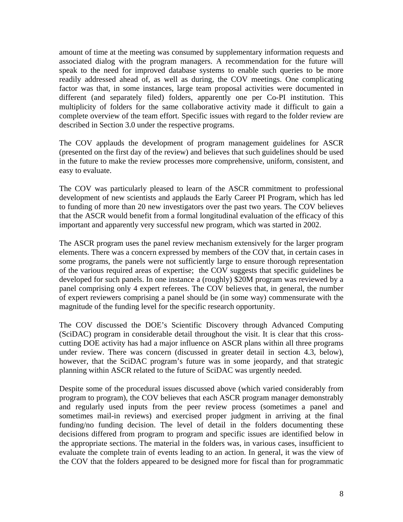amount of time at the meeting was consumed by supplementary information requests and associated dialog with the program managers. A recommendation for the future will speak to the need for improved database systems to enable such queries to be more readily addressed ahead of, as well as during, the COV meetings. One complicating factor was that, in some instances, large team proposal activities were documented in different (and separately filed) folders, apparently one per Co-PI institution. This multiplicity of folders for the same collaborative activity made it difficult to gain a complete overview of the team effort. Specific issues with regard to the folder review are described in Section 3.0 under the respective programs.

The COV applauds the development of program management guidelines for ASCR (presented on the first day of the review) and believes that such guidelines should be used in the future to make the review processes more comprehensive, uniform, consistent, and easy to evaluate.

The COV was particularly pleased to learn of the ASCR commitment to professional development of new scientists and applauds the Early Career PI Program, which has led to funding of more than 20 new investigators over the past two years. The COV believes that the ASCR would benefit from a formal longitudinal evaluation of the efficacy of this important and apparently very successful new program, which was started in 2002.

The ASCR program uses the panel review mechanism extensively for the larger program elements. There was a concern expressed by members of the COV that, in certain cases in some programs, the panels were not sufficiently large to ensure thorough representation of the various required areas of expertise; the COV suggests that specific guidelines be developed for such panels. In one instance a (roughly) \$20M program was reviewed by a panel comprising only 4 expert referees. The COV believes that, in general, the number of expert reviewers comprising a panel should be (in some way) commensurate with the magnitude of the funding level for the specific research opportunity.

The COV discussed the DOE's Scientific Discovery through Advanced Computing (SciDAC) program in considerable detail throughout the visit. It is clear that this crosscutting DOE activity has had a major influence on ASCR plans within all three programs under review. There was concern (discussed in greater detail in section 4.3, below), however, that the SciDAC program's future was in some jeopardy, and that strategic planning within ASCR related to the future of SciDAC was urgently needed.

Despite some of the procedural issues discussed above (which varied considerably from program to program), the COV believes that each ASCR program manager demonstrably and regularly used inputs from the peer review process (sometimes a panel and sometimes mail-in reviews) and exercised proper judgment in arriving at the final funding/no funding decision. The level of detail in the folders documenting these decisions differed from program to program and specific issues are identified below in the appropriate sections. The material in the folders was, in various cases, insufficient to evaluate the complete train of events leading to an action. In general, it was the view of the COV that the folders appeared to be designed more for fiscal than for programmatic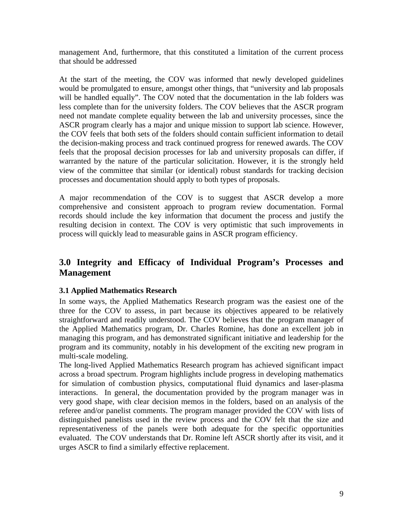management And, furthermore, that this constituted a limitation of the current process that should be addressed

At the start of the meeting, the COV was informed that newly developed guidelines would be promulgated to ensure, amongst other things, that "university and lab proposals will be handled equally". The COV noted that the documentation in the lab folders was less complete than for the university folders. The COV believes that the ASCR program need not mandate complete equality between the lab and university processes, since the ASCR program clearly has a major and unique mission to support lab science. However, the COV feels that both sets of the folders should contain sufficient information to detail the decision-making process and track continued progress for renewed awards. The COV feels that the proposal decision processes for lab and university proposals can differ, if warranted by the nature of the particular solicitation. However, it is the strongly held view of the committee that similar (or identical) robust standards for tracking decision processes and documentation should apply to both types of proposals.

A major recommendation of the COV is to suggest that ASCR develop a more comprehensive and consistent approach to program review documentation. Formal records should include the key information that document the process and justify the resulting decision in context. The COV is very optimistic that such improvements in process will quickly lead to measurable gains in ASCR program efficiency.

## **3.0 Integrity and Efficacy of Individual Program's Processes and Management**

## **3.1 Applied Mathematics Research**

In some ways, the Applied Mathematics Research program was the easiest one of the three for the COV to assess, in part because its objectives appeared to be relatively straightforward and readily understood. The COV believes that the program manager of the Applied Mathematics program, Dr. Charles Romine, has done an excellent job in managing this program, and has demonstrated significant initiative and leadership for the program and its community, notably in his development of the exciting new program in multi-scale modeling.

The long-lived Applied Mathematics Research program has achieved significant impact across a broad spectrum. Program highlights include progress in developing mathematics for simulation of combustion physics, computational fluid dynamics and laser-plasma interactions. In general, the documentation provided by the program manager was in very good shape, with clear decision memos in the folders, based on an analysis of the referee and/or panelist comments. The program manager provided the COV with lists of distinguished panelists used in the review process and the COV felt that the size and representativeness of the panels were both adequate for the specific opportunities evaluated. The COV understands that Dr. Romine left ASCR shortly after its visit, and it urges ASCR to find a similarly effective replacement.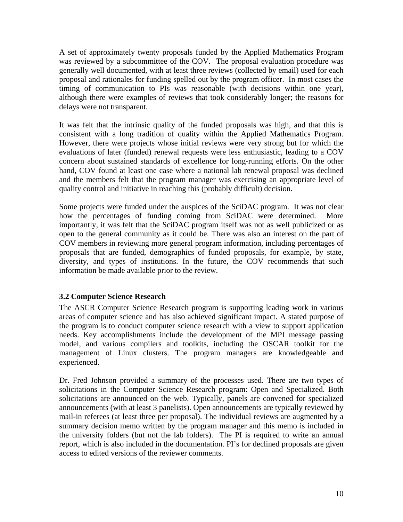A set of approximately twenty proposals funded by the Applied Mathematics Program was reviewed by a subcommittee of the COV. The proposal evaluation procedure was generally well documented, with at least three reviews (collected by email) used for each proposal and rationales for funding spelled out by the program officer. In most cases the timing of communication to PIs was reasonable (with decisions within one year), although there were examples of reviews that took considerably longer; the reasons for delays were not transparent.

It was felt that the intrinsic quality of the funded proposals was high, and that this is consistent with a long tradition of quality within the Applied Mathematics Program. However, there were projects whose initial reviews were very strong but for which the evaluations of later (funded) renewal requests were less enthusiastic, leading to a COV concern about sustained standards of excellence for long-running efforts. On the other hand, COV found at least one case where a national lab renewal proposal was declined and the members felt that the program manager was exercising an appropriate level of quality control and initiative in reaching this (probably difficult) decision.

Some projects were funded under the auspices of the SciDAC program. It was not clear how the percentages of funding coming from SciDAC were determined. More importantly, it was felt that the SciDAC program itself was not as well publicized or as open to the general community as it could be. There was also an interest on the part of COV members in reviewing more general program information, including percentages of proposals that are funded, demographics of funded proposals, for example, by state, diversity, and types of institutions. In the future, the COV recommends that such information be made available prior to the review.

#### **3.2 Computer Science Research**

The ASCR Computer Science Research program is supporting leading work in various areas of computer science and has also achieved significant impact. A stated purpose of the program is to conduct computer science research with a view to support application needs. Key accomplishments include the development of the MPI message passing model, and various compilers and toolkits, including the OSCAR toolkit for the management of Linux clusters. The program managers are knowledgeable and experienced.

Dr. Fred Johnson provided a summary of the processes used. There are two types of solicitations in the Computer Science Research program: Open and Specialized. Both solicitations are announced on the web. Typically, panels are convened for specialized announcements (with at least 3 panelists). Open announcements are typically reviewed by mail-in referees (at least three per proposal). The individual reviews are augmented by a summary decision memo written by the program manager and this memo is included in the university folders (but not the lab folders). The PI is required to write an annual report, which is also included in the documentation. PI's for declined proposals are given access to edited versions of the reviewer comments.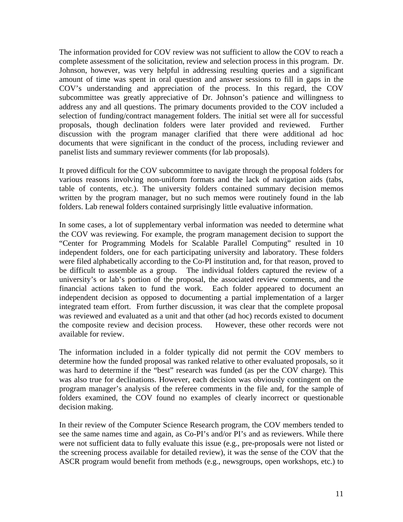The information provided for COV review was not sufficient to allow the COV to reach a complete assessment of the solicitation, review and selection process in this program. Dr. Johnson, however, was very helpful in addressing resulting queries and a significant amount of time was spent in oral question and answer sessions to fill in gaps in the COV's understanding and appreciation of the process. In this regard, the COV subcommittee was greatly appreciative of Dr. Johnson's patience and willingness to address any and all questions. The primary documents provided to the COV included a selection of funding/contract management folders. The initial set were all for successful proposals, though declination folders were later provided and reviewed. Further discussion with the program manager clarified that there were additional ad hoc documents that were significant in the conduct of the process, including reviewer and panelist lists and summary reviewer comments (for lab proposals).

It proved difficult for the COV subcommittee to navigate through the proposal folders for various reasons involving non-uniform formats and the lack of navigation aids (tabs, table of contents, etc.). The university folders contained summary decision memos written by the program manager, but no such memos were routinely found in the lab folders. Lab renewal folders contained surprisingly little evaluative information.

In some cases, a lot of supplementary verbal information was needed to determine what the COV was reviewing. For example, the program management decision to support the "Center for Programming Models for Scalable Parallel Computing" resulted in 10 independent folders, one for each participating university and laboratory. These folders were filed alphabetically according to the Co-PI institution and, for that reason, proved to be difficult to assemble as a group. The individual folders captured the review of a university's or lab's portion of the proposal, the associated review comments, and the financial actions taken to fund the work. Each folder appeared to document an independent decision as opposed to documenting a partial implementation of a larger integrated team effort. From further discussion, it was clear that the complete proposal was reviewed and evaluated as a unit and that other (ad hoc) records existed to document the composite review and decision process. However, these other records were not available for review.

The information included in a folder typically did not permit the COV members to determine how the funded proposal was ranked relative to other evaluated proposals, so it was hard to determine if the "best" research was funded (as per the COV charge). This was also true for declinations. However, each decision was obviously contingent on the program manager's analysis of the referee comments in the file and, for the sample of folders examined, the COV found no examples of clearly incorrect or questionable decision making.

In their review of the Computer Science Research program, the COV members tended to see the same names time and again, as Co-PI's and/or PI's and as reviewers. While there were not sufficient data to fully evaluate this issue (e.g., pre-proposals were not listed or the screening process available for detailed review), it was the sense of the COV that the ASCR program would benefit from methods (e.g., newsgroups, open workshops, etc.) to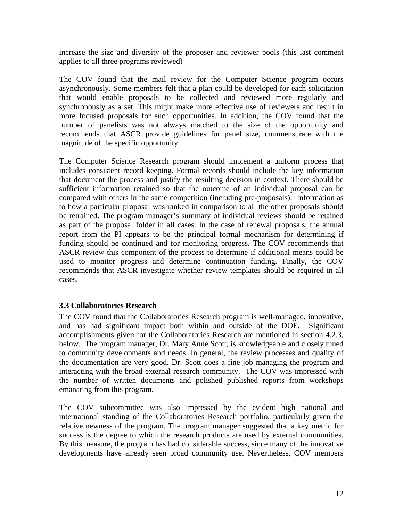increase the size and diversity of the proposer and reviewer pools (this last comment applies to all three programs reviewed)

The COV found that the mail review for the Computer Science program occurs asynchronously. Some members felt that a plan could be developed for each solicitation that would enable proposals to be collected and reviewed more regularly and synchronously as a set. This might make more effective use of reviewers and result in more focused proposals for such opportunities. In addition, the COV found that the number of panelists was not always matched to the size of the opportunity and recommends that ASCR provide guidelines for panel size, commensurate with the magnitude of the specific opportunity.

The Computer Science Research program should implement a uniform process that includes consistent record keeping. Formal records should include the key information that document the process and justify the resulting decision in context. There should be sufficient information retained so that the outcome of an individual proposal can be compared with others in the same competition (including pre-proposals). Information as to how a particular proposal was ranked in comparison to all the other proposals should be retrained. The program manager's summary of individual reviews should be retained as part of the proposal folder in all cases. In the case of renewal proposals, the annual report from the PI appears to be the principal formal mechanism for determining if funding should be continued and for monitoring progress. The COV recommends that ASCR review this component of the process to determine if additional means could be used to monitor progress and determine continuation funding. Finally, the COV recommends that ASCR investigate whether review templates should be required in all cases.

## **3.3 Collaboratories Research**

The COV found that the Collaboratories Research program is well-managed, innovative, and has had significant impact both within and outside of the DOE. Significant accomplishments given for the Collaboratories Research are mentioned in section 4.2.3, below. The program manager, Dr. Mary Anne Scott, is knowledgeable and closely tuned to community developments and needs. In general, the review processes and quality of the documentation are very good. Dr. Scott does a fine job managing the program and interacting with the broad external research community. The COV was impressed with the number of written documents and polished published reports from workshops emanating from this program.

The COV subcommittee was also impressed by the evident high national and international standing of the Collaboratories Research portfolio, particularly given the relative newness of the program. The program manager suggested that a key metric for success is the degree to which the research products are used by external communities. By this measure, the program has had considerable success, since many of the innovative developments have already seen broad community use. Nevertheless, COV members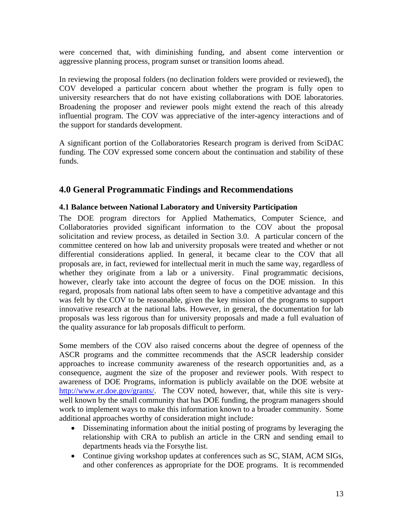were concerned that, with diminishing funding, and absent come intervention or aggressive planning process, program sunset or transition looms ahead.

In reviewing the proposal folders (no declination folders were provided or reviewed), the COV developed a particular concern about whether the program is fully open to university researchers that do not have existing collaborations with DOE laboratories. Broadening the proposer and reviewer pools might extend the reach of this already influential program. The COV was appreciative of the inter-agency interactions and of the support for standards development.

A significant portion of the Collaboratories Research program is derived from SciDAC funding. The COV expressed some concern about the continuation and stability of these funds.

## **4.0 General Programmatic Findings and Recommendations**

## **4.1 Balance between National Laboratory and University Participation**

The DOE program directors for Applied Mathematics, Computer Science, and Collaboratories provided significant information to the COV about the proposal solicitation and review process, as detailed in Section 3.0. A particular concern of the committee centered on how lab and university proposals were treated and whether or not differential considerations applied. In general, it became clear to the COV that all proposals are, in fact, reviewed for intellectual merit in much the same way, regardless of whether they originate from a lab or a university. Final programmatic decisions, however, clearly take into account the degree of focus on the DOE mission. In this regard, proposals from national labs often seem to have a competitive advantage and this was felt by the COV to be reasonable, given the key mission of the programs to support innovative research at the national labs. However, in general, the documentation for lab proposals was less rigorous than for university proposals and made a full evaluation of the quality assurance for lab proposals difficult to perform.

Some members of the COV also raised concerns about the degree of openness of the ASCR programs and the committee recommends that the ASCR leadership consider approaches to increase community awareness of the research opportunities and, as a consequence, augment the size of the proposer and reviewer pools. With respect to awareness of DOE Programs, information is publicly available on the DOE website at <http://www.er.doe.gov/grants/>. The COV noted, however, that, while this site is verywell known by the small community that has DOE funding, the program managers should work to implement ways to make this information known to a broader community. Some additional approaches worthy of consideration might include:

- Disseminating information about the initial posting of programs by leveraging the relationship with CRA to publish an article in the CRN and sending email to departments heads via the Forsythe list.
- Continue giving workshop updates at conferences such as SC, SIAM, ACM SIGs, and other conferences as appropriate for the DOE programs. It is recommended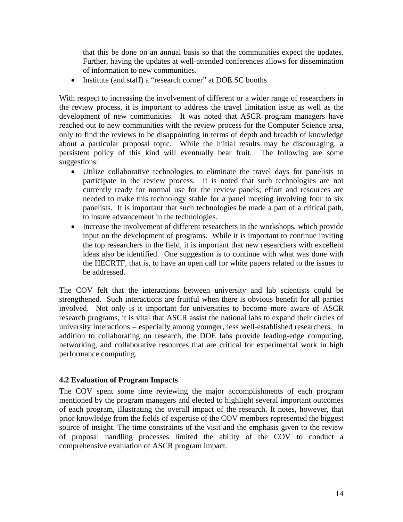that this be done on an annual basis so that the communities expect the updates. Further, having the updates at well-attended conferences allows for dissemination of information to new communities.

• Institute (and staff) a "research corner" at DOE SC booths.

With respect to increasing the involvement of different or a wider range of researchers in the review process, it is important to address the travel limitation issue as well as the development of new communities. It was noted that ASCR program managers have reached out to new communities with the review process for the Computer Science area, only to find the reviews to be disappointing in terms of depth and breadth of knowledge about a particular proposal topic. While the initial results may be discouraging, a persistent policy of this kind will eventually bear fruit. The following are some suggestions:

- Utilize collaborative technologies to eliminate the travel days for panelists to participate in the review process. It is noted that such technologies are not currently ready for normal use for the review panels; effort and resources are needed to make this technology stable for a panel meeting involving four to six panelists. It is important that such technologies be made a part of a critical path, to insure advancement in the technologies.
- Increase the involvement of different researchers in the workshops, which provide input on the development of programs. While it is important to continue inviting the top researchers in the field, it is important that new researchers with excellent ideas also be identified. One suggestion is to continue with what was done with the HECRTF, that is, to have an open call for white papers related to the issues to be addressed.

The COV felt that the interactions between university and lab scientists could be strengthened. Such interactions are fruitful when there is obvious benefit for all parties involved. Not only is it important for universities to become more aware of ASCR research programs, it is vital that ASCR assist the national labs to expand their circles of university interactions – especially among younger, less well-established researchers. In addition to collaborating on research, the DOE labs provide leading-edge computing, networking, and collaborative resources that are critical for experimental work in high performance computing.

#### **4.2 Evaluation of Program Impacts**

The COV spent some time reviewing the major accomplishments of each program mentioned by the program managers and elected to highlight several important outcomes of each program, illustrating the overall impact of the research. It notes, however, that prior knowledge from the fields of expertise of the COV members represented the biggest source of insight. The time constraints of the visit and the emphasis given to the review of proposal handling processes limited the ability of the COV to conduct a comprehensive evaluation of ASCR program impact.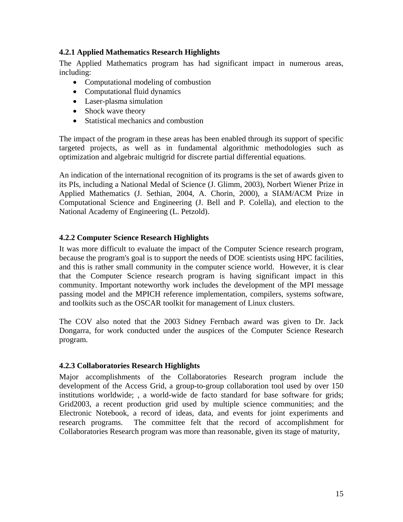## **4.2.1 Applied Mathematics Research Highlights**

The Applied Mathematics program has had significant impact in numerous areas, including:

- Computational modeling of combustion
- Computational fluid dynamics
- Laser-plasma simulation
- Shock wave theory
- Statistical mechanics and combustion

The impact of the program in these areas has been enabled through its support of specific targeted projects, as well as in fundamental algorithmic methodologies such as optimization and algebraic multigrid for discrete partial differential equations.

An indication of the international recognition of its programs is the set of awards given to its PIs, including a National Medal of Science (J. Glimm, 2003), Norbert Wiener Prize in Applied Mathematics (J. Sethian, 2004, A. Chorin, 2000), a SIAM/ACM Prize in Computational Science and Engineering (J. Bell and P. Colella), and election to the National Academy of Engineering (L. Petzold).

## **4.2.2 Computer Science Research Highlights**

It was more difficult to evaluate the impact of the Computer Science research program, because the program's goal is to support the needs of DOE scientists using HPC facilities, and this is rather small community in the computer science world. However, it is clear that the Computer Science research program is having significant impact in this community. Important noteworthy work includes the development of the MPI message passing model and the MPICH reference implementation, compilers, systems software, and toolkits such as the OSCAR toolkit for management of Linux clusters.

The COV also noted that the 2003 Sidney Fernbach award was given to Dr. Jack Dongarra, for work conducted under the auspices of the Computer Science Research program.

## **4.2.3 Collaboratories Research Highlights**

Major accomplishments of the Collaboratories Research program include the development of the Access Grid, a group-to-group collaboration tool used by over 150 institutions worldwide; , a world-wide de facto standard for base software for grids; Grid2003, a recent production grid used by multiple science communities; and the Electronic Notebook, a record of ideas, data, and events for joint experiments and research programs. The committee felt that the record of accomplishment for Collaboratories Research program was more than reasonable, given its stage of maturity,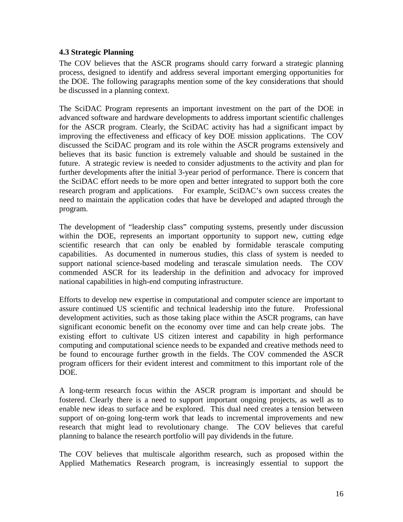### **4.3 Strategic Planning**

The COV believes that the ASCR programs should carry forward a strategic planning process, designed to identify and address several important emerging opportunities for the DOE. The following paragraphs mention some of the key considerations that should be discussed in a planning context.

The SciDAC Program represents an important investment on the part of the DOE in advanced software and hardware developments to address important scientific challenges for the ASCR program. Clearly, the SciDAC activity has had a significant impact by improving the effectiveness and efficacy of key DOE mission applications. The COV discussed the SciDAC program and its role within the ASCR programs extensively and believes that its basic function is extremely valuable and should be sustained in the future. A strategic review is needed to consider adjustments to the activity and plan for further developments after the initial 3-year period of performance. There is concern that the SciDAC effort needs to be more open and better integrated to support both the core research program and applications. For example, SciDAC's own success creates the need to maintain the application codes that have be developed and adapted through the program.

The development of "leadership class" computing systems, presently under discussion within the DOE, represents an important opportunity to support new, cutting edge scientific research that can only be enabled by formidable terascale computing capabilities. As documented in numerous studies, this class of system is needed to support national science-based modeling and terascale simulation needs. The COV commended ASCR for its leadership in the definition and advocacy for improved national capabilities in high-end computing infrastructure.

Efforts to develop new expertise in computational and computer science are important to assure continued US scientific and technical leadership into the future. Professional development activities, such as those taking place within the ASCR programs, can have significant economic benefit on the economy over time and can help create jobs. The existing effort to cultivate US citizen interest and capability in high performance computing and computational science needs to be expanded and creative methods need to be found to encourage further growth in the fields. The COV commended the ASCR program officers for their evident interest and commitment to this important role of the DOE.

A long-term research focus within the ASCR program is important and should be fostered. Clearly there is a need to support important ongoing projects, as well as to enable new ideas to surface and be explored. This dual need creates a tension between support of on-going long-term work that leads to incremental improvements and new research that might lead to revolutionary change. The COV believes that careful planning to balance the research portfolio will pay dividends in the future.

The COV believes that multiscale algorithm research, such as proposed within the Applied Mathematics Research program, is increasingly essential to support the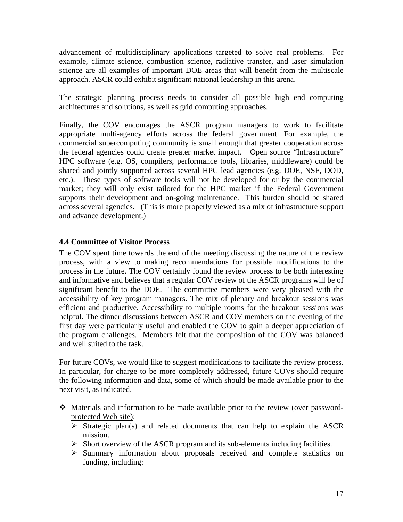advancement of multidisciplinary applications targeted to solve real problems. For example, climate science, combustion science, radiative transfer, and laser simulation science are all examples of important DOE areas that will benefit from the multiscale approach. ASCR could exhibit significant national leadership in this arena.

The strategic planning process needs to consider all possible high end computing architectures and solutions, as well as grid computing approaches.

Finally, the COV encourages the ASCR program managers to work to facilitate appropriate multi-agency efforts across the federal government. For example, the commercial supercomputing community is small enough that greater cooperation across the federal agencies could create greater market impact. Open source "Infrastructure" HPC software (e.g. OS, compilers, performance tools, libraries, middleware) could be shared and jointly supported across several HPC lead agencies (e.g. DOE, NSF, DOD, etc.). These types of software tools will not be developed for or by the commercial market; they will only exist tailored for the HPC market if the Federal Government supports their development and on-going maintenance. This burden should be shared across several agencies. (This is more properly viewed as a mix of infrastructure support and advance development.)

## **4.4 Committee of Visitor Process**

The COV spent time towards the end of the meeting discussing the nature of the review process, with a view to making recommendations for possible modifications to the process in the future. The COV certainly found the review process to be both interesting and informative and believes that a regular COV review of the ASCR programs will be of significant benefit to the DOE. The committee members were very pleased with the accessibility of key program managers. The mix of plenary and breakout sessions was efficient and productive. Accessibility to multiple rooms for the breakout sessions was helpful. The dinner discussions between ASCR and COV members on the evening of the first day were particularly useful and enabled the COV to gain a deeper appreciation of the program challenges. Members felt that the composition of the COV was balanced and well suited to the task.

For future COVs, we would like to suggest modifications to facilitate the review process. In particular, for charge to be more completely addressed, future COVs should require the following information and data, some of which should be made available prior to the next visit, as indicated.

- Materials and information to be made available prior to the review (over passwordprotected Web site):
	- $\triangleright$  Strategic plan(s) and related documents that can help to explain the ASCR mission.
	- $\triangleright$  Short overview of the ASCR program and its sub-elements including facilities.
	- ¾ Summary information about proposals received and complete statistics on funding, including: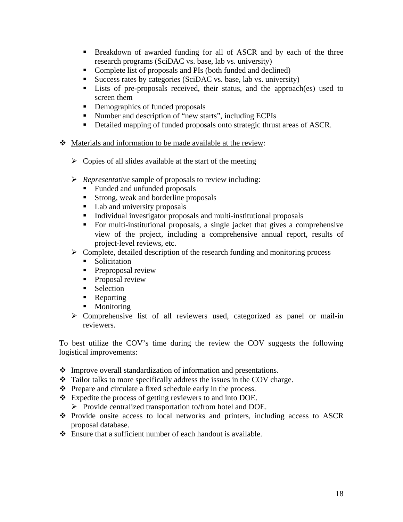- **Breakdown of awarded funding for all of ASCR and by each of the three** research programs (SciDAC vs. base, lab vs. university)
- Complete list of proposals and PIs (both funded and declined)
- Success rates by categories (SciDAC vs. base, lab vs. university)
- Lists of pre-proposals received, their status, and the approach(es) used to screen them
- Demographics of funded proposals
- Number and description of "new starts", including ECPIs
- Detailed mapping of funded proposals onto strategic thrust areas of ASCR.
- Materials and information to be made available at the review:
	- $\triangleright$  Copies of all slides available at the start of the meeting
	- ¾ *Representative* sample of proposals to review including:
		- Funded and unfunded proposals
		- Strong, weak and borderline proposals
		- Lab and university proposals
		- Individual investigator proposals and multi-institutional proposals
		- For multi-institutional proposals, a single jacket that gives a comprehensive view of the project, including a comprehensive annual report, results of project-level reviews, etc.
	- $\triangleright$  Complete, detailed description of the research funding and monitoring process
		- **Solicitation**
		- **Preproposal review**
		- **Proposal review**
		- **Selection**
		- Reporting
		- Monitoring
	- $\triangleright$  Comprehensive list of all reviewers used, categorized as panel or mail-in reviewers.

To best utilize the COV's time during the review the COV suggests the following logistical improvements:

- Improve overall standardization of information and presentations.
- Tailor talks to more specifically address the issues in the COV charge.
- $\triangle$  Prepare and circulate a fixed schedule early in the process.
- Expedite the process of getting reviewers to and into DOE.
	- ¾ Provide centralized transportation to/from hotel and DOE.
- Provide onsite access to local networks and printers, including access to ASCR proposal database.
- $\triangle$  Ensure that a sufficient number of each handout is available.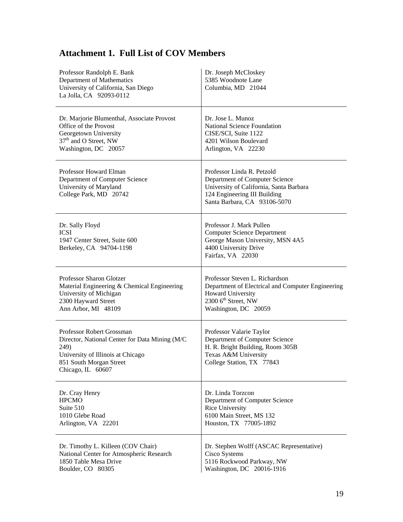| Professor Randolph E. Bank<br>Department of Mathematics<br>University of California, San Diego<br>La Jolla, CA 92093-0112                                                 | Dr. Joseph McCloskey<br>5385 Woodnote Lane<br>Columbia, MD 21044                                                                                                        |
|---------------------------------------------------------------------------------------------------------------------------------------------------------------------------|-------------------------------------------------------------------------------------------------------------------------------------------------------------------------|
| Dr. Marjorie Blumenthal, Associate Provost                                                                                                                                | Dr. Jose L. Munoz                                                                                                                                                       |
| Office of the Provost                                                                                                                                                     | National Science Foundation                                                                                                                                             |
| Georgetown University                                                                                                                                                     | CISE/SCI, Suite 1122                                                                                                                                                    |
| 37 <sup>th</sup> and O Street, NW                                                                                                                                         | 4201 Wilson Boulevard                                                                                                                                                   |
| Washington, DC 20057                                                                                                                                                      | Arlington, VA 22230                                                                                                                                                     |
| Professor Howard Elman<br>Department of Computer Science<br>University of Maryland<br>College Park, MD 20742                                                              | Professor Linda R. Petzold<br>Department of Computer Science<br>University of California, Santa Barbara<br>124 Engineering III Building<br>Santa Barbara, CA 93106-5070 |
| Dr. Sally Floyd<br><b>ICSI</b><br>1947 Center Street, Suite 600<br>Berkeley, CA 94704-1198                                                                                | Professor J. Mark Pullen<br><b>Computer Science Department</b><br>George Mason University, MSN 4A5<br>4400 University Drive<br>Fairfax, VA 22030                        |
| Professor Sharon Glotzer                                                                                                                                                  | Professor Steven L. Richardson                                                                                                                                          |
| Material Engineering & Chemical Engineering                                                                                                                               | Department of Electrical and Computer Engineering                                                                                                                       |
| University of Michigan                                                                                                                                                    | Howard University                                                                                                                                                       |
| 2300 Hayward Street                                                                                                                                                       | 2300 6 <sup>th</sup> Street, NW                                                                                                                                         |
| Ann Arbor, MI 48109                                                                                                                                                       | Washington, DC 20059                                                                                                                                                    |
| Professor Robert Grossman<br>Director, National Center for Data Mining (M/C)<br>249)<br>University of Illinois at Chicago<br>851 South Morgan Street<br>Chicago, IL 60607 | Professor Valarie Taylor<br>Department of Computer Science<br>H. R. Bright Building, Room 305B<br>Texas A&M University<br>College Station, TX 77843                     |
| Dr. Cray Henry                                                                                                                                                            | Dr. Linda Torzcon                                                                                                                                                       |
| <b>HPCMO</b>                                                                                                                                                              | Department of Computer Science                                                                                                                                          |
| Suite 510                                                                                                                                                                 | Rice University                                                                                                                                                         |
| 1010 Glebe Road                                                                                                                                                           | 6100 Main Street, MS 132                                                                                                                                                |
| Arlington, VA 22201                                                                                                                                                       | Houston, TX 77005-1892                                                                                                                                                  |
| Dr. Timothy L. Killeen (COV Chair)                                                                                                                                        | Dr. Stephen Wolff (ASCAC Representative)                                                                                                                                |
| National Center for Atmospheric Research                                                                                                                                  | Cisco Systems                                                                                                                                                           |
| 1850 Table Mesa Drive                                                                                                                                                     | 5116 Rockwood Parkway, NW                                                                                                                                               |
| Boulder, CO 80305                                                                                                                                                         | Washington, DC 20016-1916                                                                                                                                               |

# **Attachment 1. Full List of COV Members**